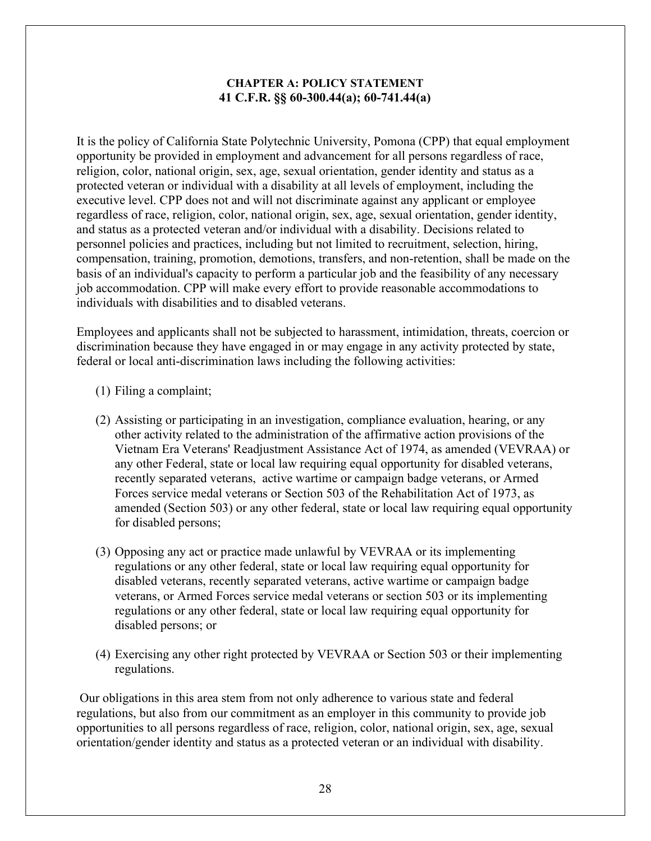## CHAPTER A: POLICY STATEMENT 41 C.F.R. §§ 60-300.44(a); 60-741.44(a)

It is the policy of California State Polytechnic University, Pomona (CPP) that equal employment opportunity be provided in employment and advancement for all persons regardless of race, religion, color, national origin, sex, age, sexual orientation, gender identity and status as a protected veteran or individual with a disability at all levels of employment, including the executive level. CPP does not and will not discriminate against any applicant or employee regardless of race, religion, color, national origin, sex, age, sexual orientation, gender identity, and status as a protected veteran and/or individual with a disability. Decisions related to personnel policies and practices, including but not limited to recruitment, selection, hiring, compensation, training, promotion, demotions, transfers, and non-retention, shall be made on the basis of an individual's capacity to perform a particular job and the feasibility of any necessary job accommodation. CPP will make every effort to provide reasonable accommodations to individuals with disabilities and to disabled veterans.

Employees and applicants shall not be subjected to harassment, intimidation, threats, coercion or discrimination because they have engaged in or may engage in any activity protected by state, federal or local anti-discrimination laws including the following activities:

- (1) Filing a complaint;
- (2) Assisting or participating in an investigation, compliance evaluation, hearing, or any other activity related to the administration of the affirmative action provisions of the Vietnam Era Veterans' Readjustment Assistance Act of 1974, as amended (VEVRAA) or any other Federal, state or local law requiring equal opportunity for disabled veterans, recently separated veterans, active wartime or campaign badge veterans, or Armed Forces service medal veterans or Section 503 of the Rehabilitation Act of 1973, as amended (Section 503) or any other federal, state or local law requiring equal opportunity for disabled persons;
- (3) Opposing any act or practice made unlawful by VEVRAA or its implementing regulations or any other federal, state or local law requiring equal opportunity for disabled veterans, recently separated veterans, active wartime or campaign badge veterans, or Armed Forces service medal veterans or section 503 or its implementing regulations or any other federal, state or local law requiring equal opportunity for disabled persons; or
- (4) Exercising any other right protected by VEVRAA or Section 503 or their implementing regulations.

 Our obligations in this area stem from not only adherence to various state and federal regulations, but also from our commitment as an employer in this community to provide job opportunities to all persons regardless of race, religion, color, national origin, sex, age, sexual orientation/gender identity and status as a protected veteran or an individual with disability.